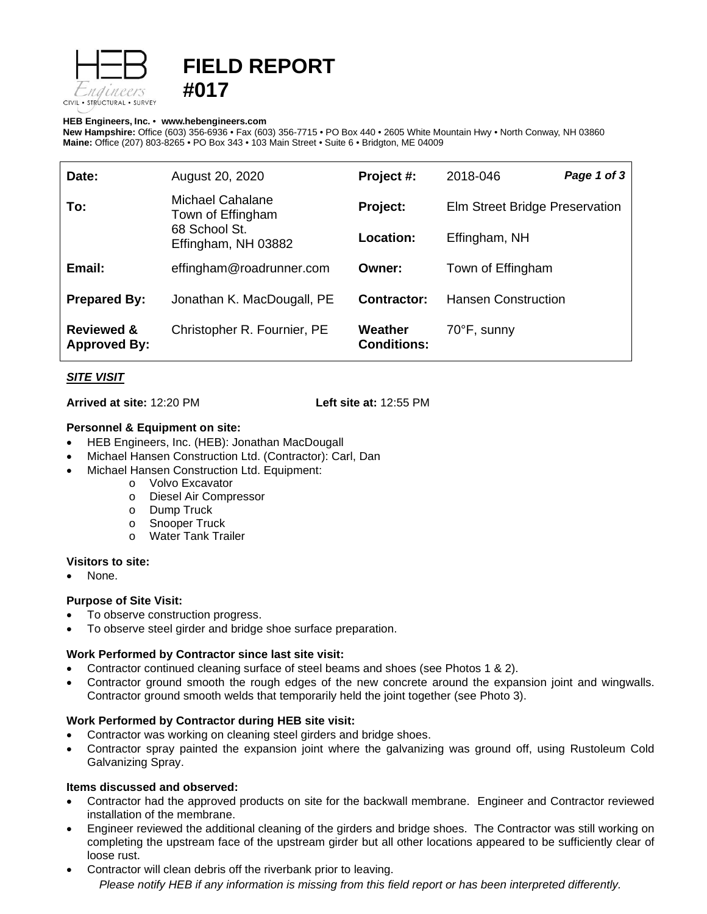

# **FIELD REPORT #017**

#### **HEB Engineers, Inc.** • **[www.hebengineer](http://www.hebengineers.com/)s.com**

**New Hampshire:** Office (603) 356-6936 • Fax (603) 356-7715 • PO Box 440 • 2605 White Mountain Hwy • North Conway, NH 03860 **Maine:** Office (207) 803-8265 • PO Box 343 • 103 Main Street • Suite 6 • Bridgton, ME 04009

| Date:                                        | August 20, 2020                                                               | Project #:                    | 2018-046                       | Page 1 of 3 |
|----------------------------------------------|-------------------------------------------------------------------------------|-------------------------------|--------------------------------|-------------|
| To:                                          | Michael Cahalane<br>Town of Effingham<br>68 School St.<br>Effingham, NH 03882 | Project:                      | Elm Street Bridge Preservation |             |
|                                              |                                                                               | Location:                     | Effingham, NH                  |             |
| Email:                                       | effingham@roadrunner.com                                                      | Owner:                        | Town of Effingham              |             |
| <b>Prepared By:</b>                          | Jonathan K. MacDougall, PE                                                    | Contractor:                   | <b>Hansen Construction</b>     |             |
| <b>Reviewed &amp;</b><br><b>Approved By:</b> | Christopher R. Fournier, PE                                                   | Weather<br><b>Conditions:</b> | 70°F, sunny                    |             |

## *SITE VISIT*

**Arrived at site:** 12:20 PM **Left site at:** 12:55 PM

### **Personnel & Equipment on site:**

- HEB Engineers, Inc. (HEB): Jonathan MacDougall
- Michael Hansen Construction Ltd. (Contractor): Carl, Dan
- Michael Hansen Construction Ltd. Equipment:
	- o Volvo Excavator
	- o Diesel Air Compressor
	- o Dump Truck<br>o Snooper True
	- o Snooper Truck<br>o Water Tank Tra
	- **Water Tank Trailer**

#### **Visitors to site:**

None.

## **Purpose of Site Visit:**

- To observe construction progress.
- To observe steel girder and bridge shoe surface preparation.

## **Work Performed by Contractor since last site visit:**

- Contractor continued cleaning surface of steel beams and shoes (see Photos 1 & 2).
- Contractor ground smooth the rough edges of the new concrete around the expansion joint and wingwalls. Contractor ground smooth welds that temporarily held the joint together (see Photo 3).

## **Work Performed by Contractor during HEB site visit:**

- Contractor was working on cleaning steel girders and bridge shoes.
- Contractor spray painted the expansion joint where the galvanizing was ground off, using Rustoleum Cold Galvanizing Spray.

## **Items discussed and observed:**

- Contractor had the approved products on site for the backwall membrane. Engineer and Contractor reviewed installation of the membrane.
- Engineer reviewed the additional cleaning of the girders and bridge shoes. The Contractor was still working on completing the upstream face of the upstream girder but all other locations appeared to be sufficiently clear of loose rust.
- Contractor will clean debris off the riverbank prior to leaving.

*Please notify HEB if any information is missing from this field report or has been interpreted differently.*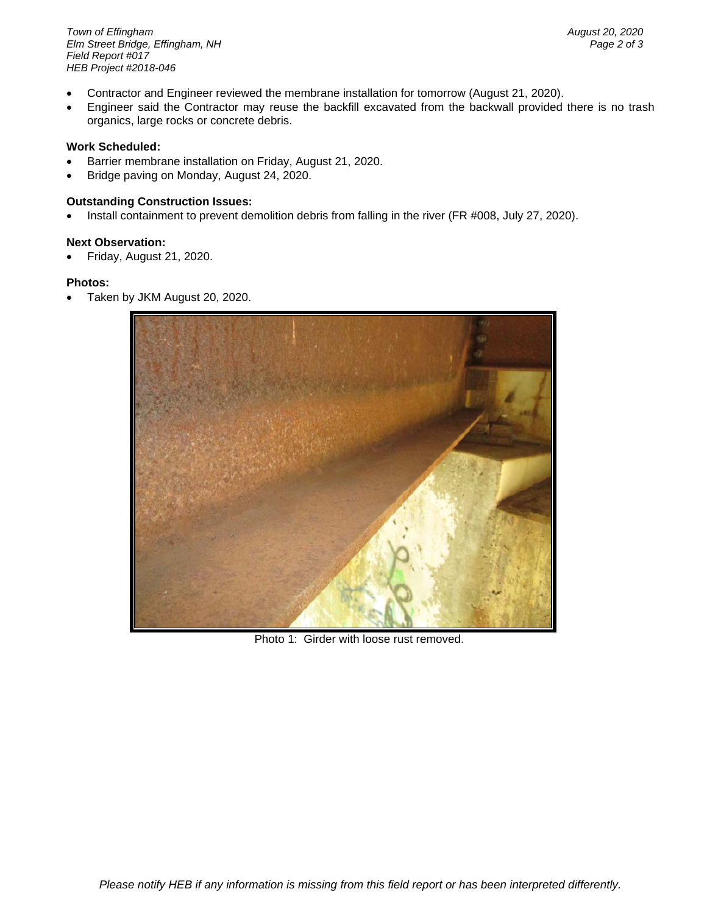*Town of Effingham August 20, 2020 <i>Elm Street Bridge, Effingham, NH Field Report #017 HEB Project #2018-046*

- Contractor and Engineer reviewed the membrane installation for tomorrow (August 21, 2020).
- Engineer said the Contractor may reuse the backfill excavated from the backwall provided there is no trash organics, large rocks or concrete debris.

#### **Work Scheduled:**

- Barrier membrane installation on Friday, August 21, 2020.
- Bridge paving on Monday, August 24, 2020.

#### **Outstanding Construction Issues:**

• Install containment to prevent demolition debris from falling in the river (FR #008, July 27, 2020).

#### **Next Observation:**

• Friday, August 21, 2020.

#### **Photos:**

• Taken by JKM August 20, 2020.



Photo 1: Girder with loose rust removed.